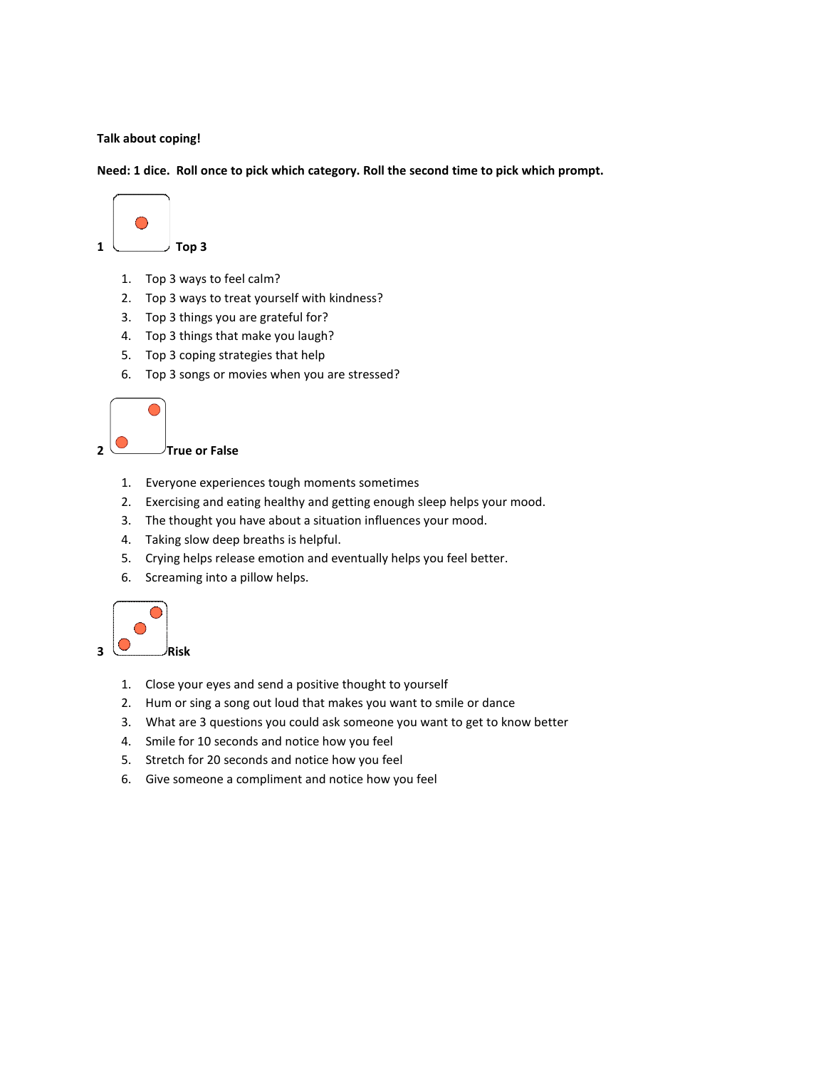**Talk about coping!** 

**Need: 1 dice. Roll once to pick which category. Roll the second time to pick which prompt.** 



- 1. Top 3 ways to feel calm?
- 2. Top 3 ways to treat yourself with kindness?
- 3. Top 3 things you are grateful for?
- 4. Top 3 things that make you laugh?
- 5. Top 3 coping strategies that help
- 6. Top 3 songs or movies when you are stressed?



- 1. Everyone experiences tough moments sometimes
- 2. Exercising and eating healthy and getting enough sleep helps your mood.
- 3. The thought you have about a situation influences your mood.
- 4. Taking slow deep breaths is helpful.
- 5. Crying helps release emotion and eventually helps you feel better.
- 6. Screaming into a pillow helps.



- 1. Close your eyes and send a positive thought to yourself
- 2. Hum or sing a song out loud that makes you want to smile or dance
- 3. What are 3 questions you could ask someone you want to get to know better
- 4. Smile for 10 seconds and notice how you feel
- 5. Stretch for 20 seconds and notice how you feel
- 6. Give someone a compliment and notice how you feel